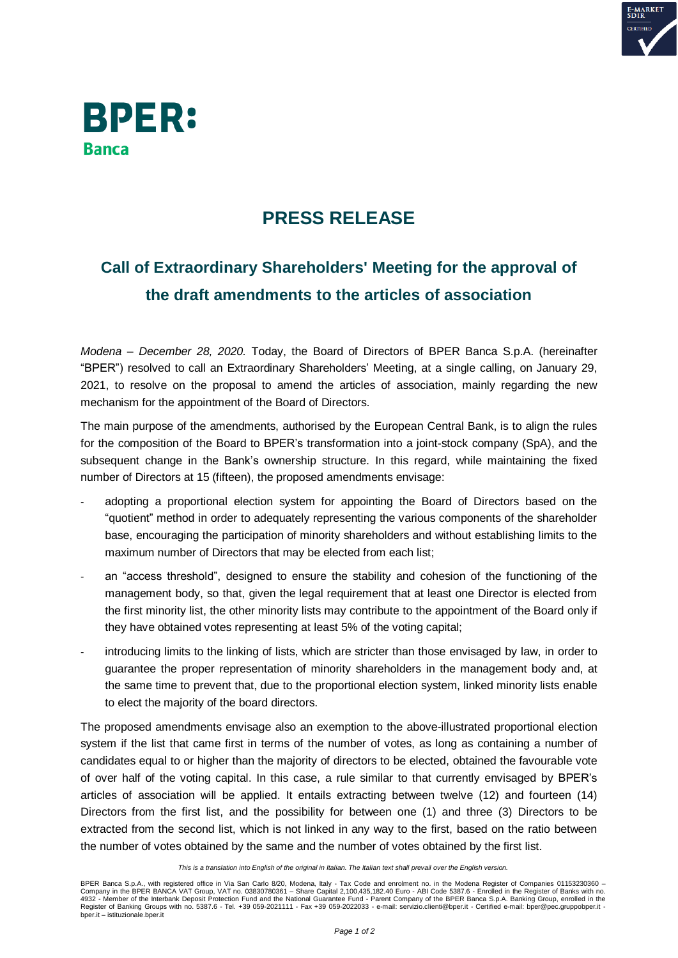



## **PRESS RELEASE**

## **Call of Extraordinary Shareholders' Meeting for the approval of the draft amendments to the articles of association**

*Modena – December 28, 2020.* Today, the Board of Directors of BPER Banca S.p.A. (hereinafter "BPER") resolved to call an Extraordinary Shareholders' Meeting, at a single calling, on January 29, 2021, to resolve on the proposal to amend the articles of association, mainly regarding the new mechanism for the appointment of the Board of Directors.

The main purpose of the amendments, authorised by the European Central Bank, is to align the rules for the composition of the Board to BPER's transformation into a joint-stock company (SpA), and the subsequent change in the Bank's ownership structure. In this regard, while maintaining the fixed number of Directors at 15 (fifteen), the proposed amendments envisage:

- adopting a proportional election system for appointing the Board of Directors based on the "quotient" method in order to adequately representing the various components of the shareholder base, encouraging the participation of minority shareholders and without establishing limits to the maximum number of Directors that may be elected from each list;
- an "access threshold", designed to ensure the stability and cohesion of the functioning of the management body, so that, given the legal requirement that at least one Director is elected from the first minority list, the other minority lists may contribute to the appointment of the Board only if they have obtained votes representing at least 5% of the voting capital;
- introducing limits to the linking of lists, which are stricter than those envisaged by law, in order to guarantee the proper representation of minority shareholders in the management body and, at the same time to prevent that, due to the proportional election system, linked minority lists enable to elect the majority of the board directors.

The proposed amendments envisage also an exemption to the above-illustrated proportional election system if the list that came first in terms of the number of votes, as long as containing a number of candidates equal to or higher than the majority of directors to be elected, obtained the favourable vote of over half of the voting capital. In this case, a rule similar to that currently envisaged by BPER's articles of association will be applied. It entails extracting between twelve (12) and fourteen (14) Directors from the first list, and the possibility for between one (1) and three (3) Directors to be extracted from the second list, which is not linked in any way to the first, based on the ratio between the number of votes obtained by the same and the number of votes obtained by the first list.

This is a translation into English of the original in Italian. The Italian text shall prevail over the English version.

BPER Banca S.p.A., with registered office in Via San Carlo 8/20, Modena, Italy - Tax Code and enrolment no. in the Modena Register of Companies 01153230360 – Company in the BPER BANCA VAT Group, VAT no. 03830780361 – Share Capital 2,100,435,182.40 Euro - ABI Code 5387.6 - Enrolled in the Register of Banks with no.<br>4932 - Member of the Interbank Deposit Protection Fund and the bper.it – istituzionale.bper.it